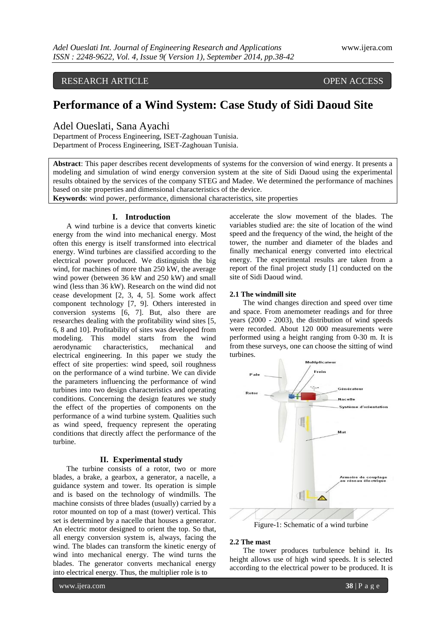RESEARCH ARTICLE OPEN ACCESS

# **Performance of a Wind System: Case Study of Sidi Daoud Site**

Adel Oueslati, Sana Ayachi

Department of Process Engineering, ISET-Zaghouan Tunisia. Department of Process Engineering, ISET-Zaghouan Tunisia.

**Abstract**: This paper describes recent developments of systems for the conversion of wind energy. It presents a modeling and simulation of wind energy conversion system at the site of Sidi Daoud using the experimental results obtained by the services of the company STEG and Madee. We determined the performance of machines based on site properties and dimensional characteristics of the device.

**Keywords**: wind power, performance, dimensional characteristics, site properties

# **I. Introduction**

A wind turbine is a device that converts kinetic energy from the wind into mechanical energy. Most often this energy is itself transformed into electrical energy. Wind turbines are classified according to the electrical power produced. We distinguish the big wind, for machines of more than 250 kW, the average wind power (between 36 kW and 250 kW) and small wind (less than 36 kW). Research on the wind did not cease development [2, 3, 4, 5]. Some work affect component technology [7, 9]. Others interested in conversion systems [6, 7]. But, also there are researches dealing with the profitability wind sites [5, 6, 8 and 10]. Profitability of sites was developed from modeling. This model starts from the wind aerodynamic characteristics, mechanical and electrical engineering. In this paper we study the effect of site properties: wind speed, soil roughness on the performance of a wind turbine. We can divide the parameters influencing the performance of wind turbines into two design characteristics and operating conditions. Concerning the design features we study the effect of the properties of components on the performance of a wind turbine system. Qualities such as wind speed, frequency represent the operating conditions that directly affect the performance of the turbine.

# **II. Experimental study**

The turbine consists of a rotor, two or more blades, a brake, a gearbox, a generator, a nacelle, a guidance system and tower. Its operation is simple and is based on the technology of windmills. The machine consists of three blades (usually) carried by a rotor mounted on top of a mast (tower) vertical. This set is determined by a nacelle that houses a generator. An electric motor designed to orient the top. So that, all energy conversion system is, always, facing the wind. The blades can transform the kinetic energy of wind into mechanical energy. The wind turns the blades. The generator converts mechanical energy into electrical energy. Thus, the multiplier role is to

www.ijera.com **38** | P a g e

accelerate the slow movement of the blades. The variables studied are: the site of location of the wind speed and the frequency of the wind, the height of the tower, the number and diameter of the blades and finally mechanical energy converted into electrical energy. The experimental results are taken from a report of the final project study [1] conducted on the site of Sidi Daoud wind.

#### **2.1 The windmill site**

The wind changes direction and speed over time and space. From anemometer readings and for three years (2000 - 2003), the distribution of wind speeds were recorded. About 120 000 measurements were performed using a height ranging from 0-30 m. It is from these surveys, one can choose the sitting of wind turbines.



# **2.2 The mast**

The tower produces turbulence behind it. Its height allows use of high wind speeds. It is selected according to the electrical power to be produced. It is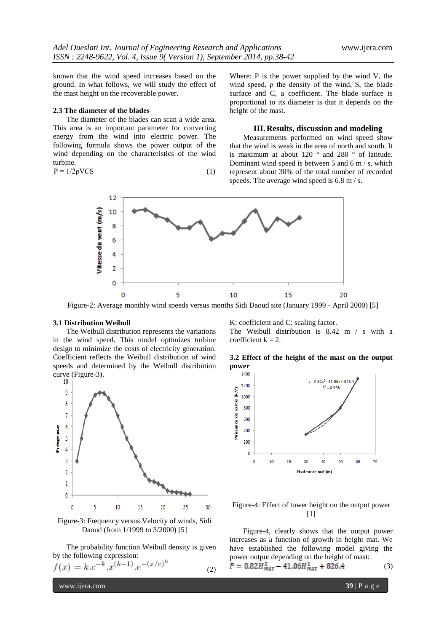known that the wind speed increases based on the ground. In what follows, we will study the effect of the mast height on the recoverable power.

# **2.3 The diameter of the blades**

The diameter of the blades can scan a wide area. This area is an important parameter for converting energy from the wind into electric power. The following formula shows the power output of the wind depending on the characteristics of the wind turbine.

$$
P = 1/2\rho VCS \tag{1}
$$

Where: P is the power supplied by the wind V, the wind speed,  $\rho$  the density of the wind, S, the blade surface and C, a coefficient. The blade surface is proportional to its diameter is that it depends on the height of the mast.

# **III. Results, discussion and modeling**

Measurements performed on wind speed show that the wind is weak in the area of north and south. It is maximum at about 120 ° and 280 ° of latitude. Dominant wind speed is between 5 and 6 m / s, which represent about 30% of the total number of recorded speeds. The average wind speed is 6.8 m/s.



Figure-2: Average monthly wind speeds versus months Sidi Daoud site (January 1999 - April 2000) [5]

#### **3.1 Distribution Weibull**

The Weibull distribution represents the variations in the wind speed. This model optimizes turbine design to minimize the costs of electricity generation. Coefficient reflects the Weibull distribution of wind speeds and determined by the Weibull distribution curve (Figure-3).



Figure-3: Frequency versus Velocity of winds, Sidi Daoud (from 1/1999 to 3/2000) [5]

The probability function Weibull density is given by the following expression:

$$
f(x) = k.c^{-k}.x^{(k-1)}.e^{-(x/c)^k}
$$
 (2)

K: coefficient and C: scaling factor.

The Weibull distribution is 8.42 m / s with a coefficient  $k = 2$ .

**3.2 Effect of the height of the mast on the output power**



Figure-4: Effect of tower height on the output power  $[1]$ 

Figure-4, clearly shows that the output power increases as a function of growth in height mat. We have established the following model giving the power output depending on the height of mast:

$$
P = 0.82H_{mat}^2 - 41.06H_{mat}^1 + 826.4\tag{3}
$$

www.ijera.com **39** | P a g e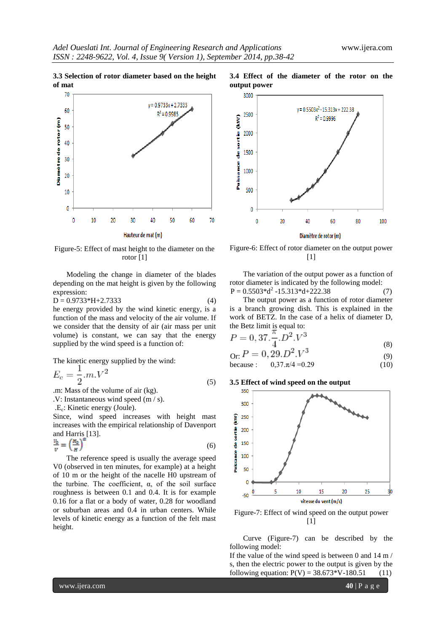**3.3 Selection of rotor diameter based on the height of mat**



Figure-5: Effect of mast height to the diameter on the rotor [1]

Modeling the change in diameter of the blades depending on the mat height is given by the following expression:

 $D = 0.9733*H+2.7333$  (4)

he energy provided by the wind kinetic energy, is a function of the mass and velocity of the air volume. If we consider that the density of air (air mass per unit volume) is constant, we can say that the energy supplied by the wind speed is a function of:

The kinetic energy supplied by the wind:

$$
E_c = \frac{1}{2} m V^2 \tag{5}
$$

.m: Mass of the volume of air (kg).

.V: Instantaneous wind speed (m / s).

.E<sup>c</sup> : Kinetic energy (Joule).

Since, wind speed increases with height mast increases with the empirical relationship of Davenport and Harris [13].

$$
\frac{V_0}{V} = \left(\frac{H_0}{H}\right)^{\alpha} \tag{6}
$$

The reference speed is usually the average speed V0 (observed in ten minutes, for example) at a height of 10 m or the height of the nacelle H0 upstream of the turbine. The coefficient,  $\alpha$ , of the soil surface roughness is between 0.1 and 0.4. It is for example 0.16 for a flat or a body of water, 0.28 for woodland or suburban areas and 0.4 in urban centers. While levels of kinetic energy as a function of the felt mast height.



**3.4 Effect of the diameter of the rotor on the** 

Figure-6: Effect of rotor diameter on the output power [1]

The variation of the output power as a function of rotor diameter is indicated by the following model:  $P = 0.5503*d^2 - 15.313*d + 222.38$  (7)

The output power as a function of rotor diameter is a branch growing dish. This is explained in the work of BETZ. In the case of a helix of diameter D, the Betz limit is equal to:

$$
P = 0, 37. \frac{\pi}{4}.D^2.V^3
$$
 (8)

$$
0r = 0, 29. D^2. V^3
$$
 (9)

because : 
$$
0,37 \cdot \pi/4 = 0.29
$$
 (10)

# **3.5 Effect of wind speed on the output**



Figure-7: Effect of wind speed on the output power  $[1]$ 

Curve (Figure-7) can be described by the following model:

If the value of the wind speed is between 0 and 14 m / s, then the electric power to the output is given by the following equation:  $P(V) = 38.673*V-180.51$  (11)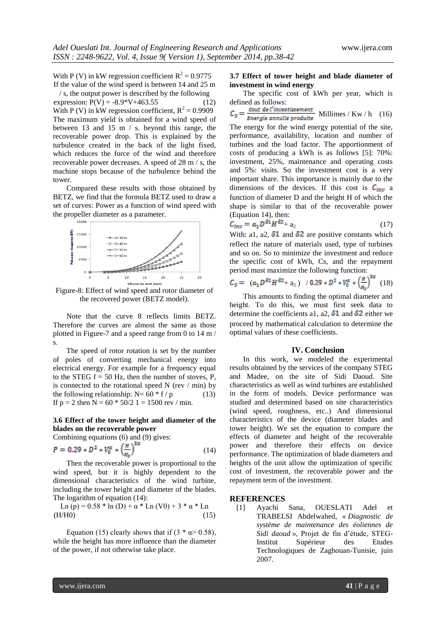With P (V) in kW regression coefficient  $R^2 = 0.9775$ If the value of the wind speed is between 14 and 25 m / s, the output power is described by the following

expression:  $P(V) = -8.9*V + 463.55$  (12) With P (V) in kW regression coefficient,  $R^2 = 0.9909$ The maximum yield is obtained for a wind speed of between 13 and 15 m / s. beyond this range, the recoverable power drop. This is explained by the turbulence created in the back of the light fixed, which reduces the force of the wind and therefore recoverable power decreases. A speed of 28 m / s, the machine stops because of the turbulence behind the tower.

Compared these results with those obtained by BETZ, we find that the formula BETZ used to draw a set of curves: Power as a function of wind speed with the propeller diameter as a parameter.



Figure-8: Effect of wind speed and rotor diameter of the recovered power (BETZ model).

Note that the curve 8 reflects limits BETZ. Therefore the curves are almost the same as those plotted in Figure-7 and a speed range from 0 to 14 m / s.

The speed of rotor rotation is set by the number of poles of converting mechanical energy into electrical energy. For example for a frequency equal to the STEG  $f = 50$  Hz, then the number of stoves, P, is connected to the rotational speed N (rev  $/$  min) by the following relationship:  $N=60 * f/p$  (13) If  $p = 2$  then  $N = 60 * 50/2$  1 = 1500 rev / min.

# **3.6 Effect of the tower height and diameter of the blades on the recoverable power**

Combining equations (6) and (9) gives:

$$
P = 0.29 * D^2 * V_0^{\alpha} * \left(\frac{H}{H_0}\right)^{3\alpha} \tag{14}
$$

Then the recoverable power is proportional to the wind speed, but it is highly dependent to the dimensional characteristics of the wind turbine, including the tower height and diameter of the blades. The logarithm of equation (14):

Ln (p) =  $0.58 * ln(D) + \alpha * Ln(V0) + 3 * \alpha * Ln$  $(H/H0)$  (15)

Equation (15) clearly shows that if  $(3 * \alpha > 0.58)$ , while the height has more influence than the diameter of the power, if not otherwise take place.

# **3.7 Effect of tower height and blade diameter of investment in wind energy**

The specific cost of kWh per year, which is defined as follows:

 $C_S = \frac{\text{Cout de l'investissement}}{\text{Exercise: } \text{Example: probability}}$  Millimes / Kw / h (16) Energie annulle produite

The energy for the wind energy potential of the site, performance, availability, location and number of turbines and the load factor. The apportionment of costs of producing a kWh is as follows [5]: 70%: investment, 25%, maintenance and operating costs and 5%: visits. So the investment cost is a very important share. This importance is mainly due to the dimensions of the devices. If this cost is  $C_{inv}$  a function of diameter D and the height H of which the shape is similar to that of the recoverable power (Equation 14), then:

$$
C_{inv} = a_1 D^{\delta 1} H^{\delta 2} + a_2 \tag{17}
$$

With: a1, a2,  $\delta$ 1 and  $\delta$ 2 are positive constants which reflect the nature of materials used, type of turbines and so on. So to minimize the investment and reduce the specific cost of kWh, Cs, and the repayment period must maximize the following function:

$$
C_{S} = (a_{1}D^{\delta_{1}}H^{\delta_{2}}+a_{2}) / 0.29 * D^{2} * V_{0}^{\alpha} * \left(\frac{H}{H_{0}}\right)^{2\alpha} (18)
$$

This amounts to finding the optimal diameter and height. To do this, we must first seek data to determine the coefficients a1, a2,  $\delta$ 1 and  $\delta$ 2 either we proceed by mathematical calculation to determine the optimal values of these coefficients.

# **IV. Conclusion**

In this work, we modeled the experimental results obtained by the services of the company STEG and Madee, on the site of Sidi Daoud. Site characteristics as well as wind turbines are established in the form of models. Device performance was studied and determined based on site characteristics (wind speed, roughness, etc..) And dimensional characteristics of the device (diameter blades and tower height). We set the equation to compare the effects of diameter and height of the recoverable power and therefore their effects on device performance. The optimization of blade diameters and heights of the unit allow the optimization of specific cost of investment, the recoverable power and the repayment term of the investment.

#### **REFERENCES**

[1] Ayachi Sana, OUESLATI Adel et TRABELSI Abdelwahed, « *Diagnostic de système de maintenance des éoliennes de Sidi daoud* », Projet de fin d'étude, STEG-Institut Supérieur des Etudes Technologiques de Zaghouan-Tunisie, juin 2007.